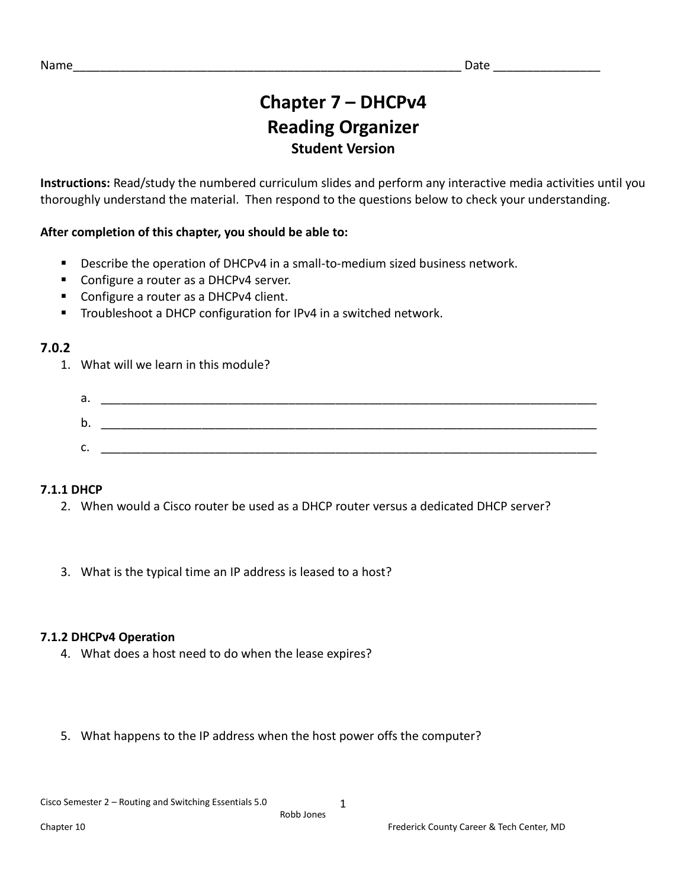# **Chapter 7 – DHCPv4 Reading Organizer Student Version**

**Instructions:** Read/study the numbered curriculum slides and perform any interactive media activities until you thoroughly understand the material. Then respond to the questions below to check your understanding.

# **After completion of this chapter, you should be able to:**

- Describe the operation of DHCPv4 in a small-to-medium sized business network.
- Configure a router as a DHCPv4 server.
- Configure a router as a DHCPv4 client.
- Troubleshoot a DHCP configuration for IPv4 in a switched network.

# **7.0.2**

1. What will we learn in this module?

| а. |  |
|----|--|
| b. |  |
| ◠  |  |
| J. |  |

# **7.1.1 DHCP**

- 2. When would a Cisco router be used as a DHCP router versus a dedicated DHCP server?
- 3. What is the typical time an IP address is leased to a host?

# **7.1.2 DHCPv4 Operation**

- 4. What does a host need to do when the lease expires?
- 5. What happens to the IP address when the host power offs the computer?

1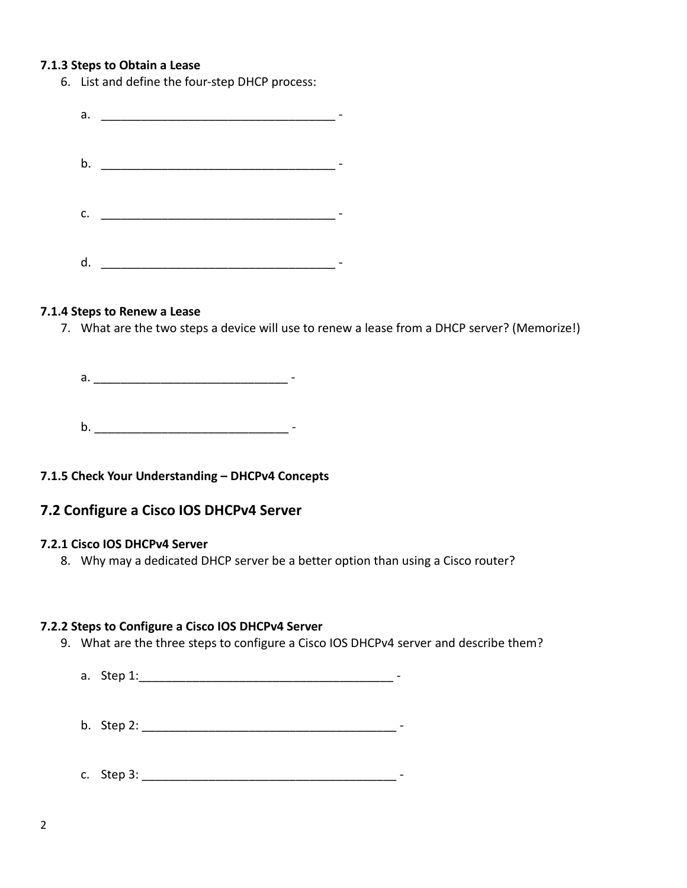### **7.1.3 Steps to Obtain a Lease**

6. List and define the four-step DHCP process:

|    | a. $\qquad \qquad$ |  |
|----|--------------------|--|
|    |                    |  |
|    |                    |  |
|    |                    |  |
|    |                    |  |
| c. |                    |  |
|    |                    |  |
|    |                    |  |
| d. |                    |  |

### **7.1.4 Steps to Renew a Lease**

7. What are the two steps a device will use to renew a lease from a DHCP server? (Memorize!)

a. \_\_\_\_\_\_\_\_\_\_\_\_\_\_\_\_\_\_\_\_\_\_\_\_\_\_\_\_\_ -

b. \_\_\_\_\_\_\_\_\_\_\_\_\_\_\_\_\_\_\_\_\_\_\_\_\_\_\_\_\_ -

# **7.1.5 Check Your Understanding – DHCPv4 Concepts**

# **7.2 Configure a Cisco IOS DHCPv4 Server**

### **7.2.1 Cisco IOS DHCPv4 Server**

8. Why may a dedicated DHCP server be a better option than using a Cisco router?

### **7.2.2 Steps to Configure a Cisco IOS DHCPv4 Server**

9. What are the three steps to configure a Cisco IOS DHCPv4 server and describe them?

a. Step 1:\_\_\_\_\_\_\_\_\_\_\_\_\_\_\_\_\_\_\_\_\_\_\_\_\_\_\_\_\_\_\_\_\_\_\_\_\_\_ -

- b. Step 2: \_\_\_\_\_\_\_\_\_\_\_\_\_\_\_\_\_\_\_\_\_\_\_\_\_\_\_\_\_\_\_\_\_\_\_\_\_\_ -
- c. Step 3: \_\_\_\_\_\_\_\_\_\_\_\_\_\_\_\_\_\_\_\_\_\_\_\_\_\_\_\_\_\_\_\_\_\_\_\_\_\_ -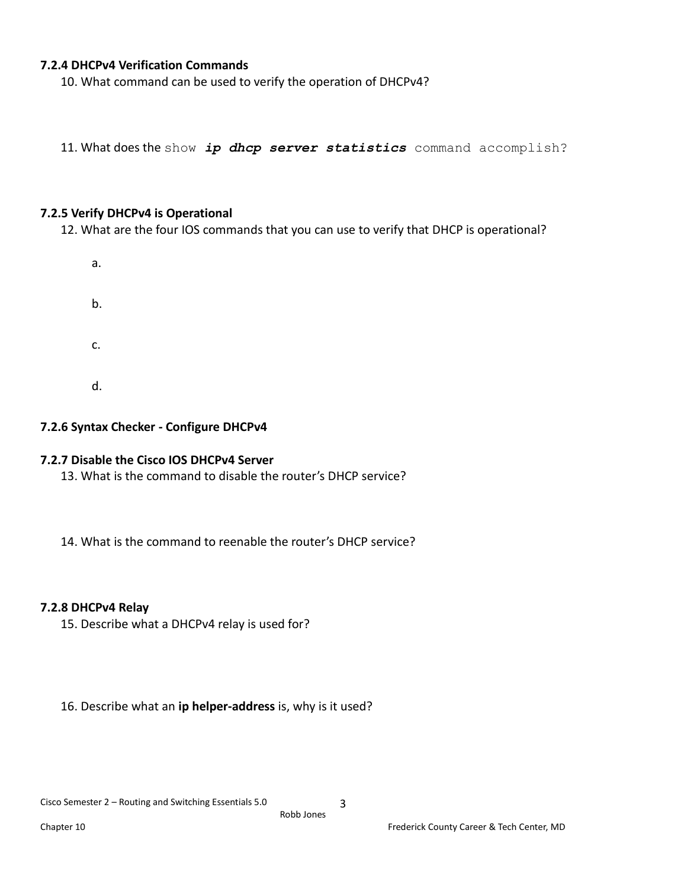### **7.2.4 DHCPv4 Verification Commands**

10. What command can be used to verify the operation of DHCPv4?

11. What does the show *ip dhcp server statistics* command accomplish?

#### **7.2.5 Verify DHCPv4 is Operational**

12. What are the four IOS commands that you can use to verify that DHCP is operational?



#### **7.2.6 Syntax Checker - Configure DHCPv4**

#### **7.2.7 Disable the Cisco IOS DHCPv4 Server**

13. What is the command to disable the router's DHCP service?

14. What is the command to reenable the router's DHCP service?

#### **7.2.8 DHCPv4 Relay**

15. Describe what a DHCPv4 relay is used for?

#### 16. Describe what an **ip helper-address** is, why is it used?

3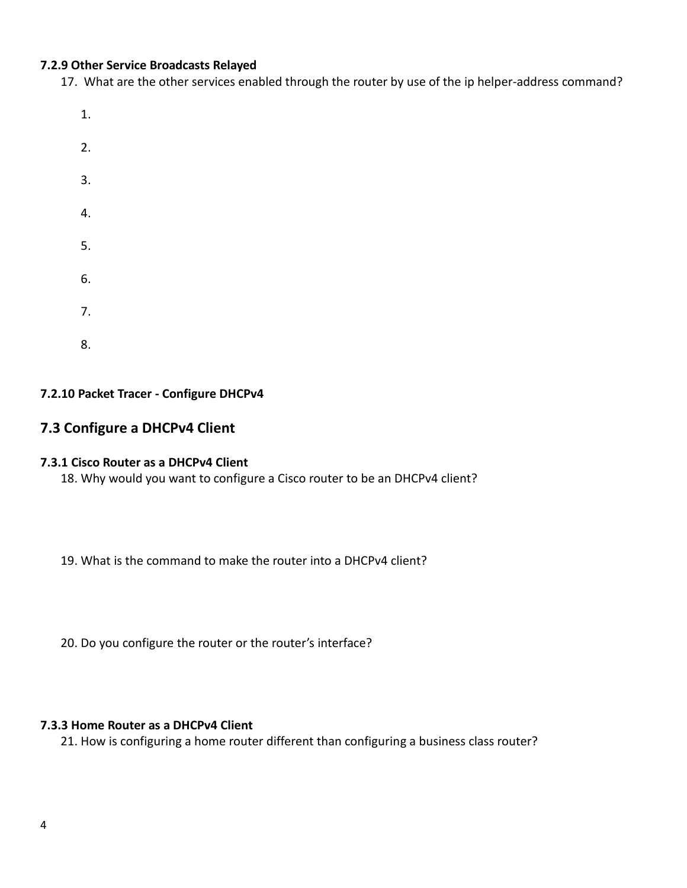### **7.2.9 Other Service Broadcasts Relayed**

17. What are the other services enabled through the router by use of the ip helper-address command?

- 1.
- 2.
- 
- 3.
- 4.
- 5.
- 6.
- 7.
- 8.

# **7.2.10 Packet Tracer - Configure DHCPv4**

# **7.3 Configure a DHCPv4 Client**

### **7.3.1 Cisco Router as a DHCPv4 Client**

18. Why would you want to configure a Cisco router to be an DHCPv4 client?

19. What is the command to make the router into a DHCPv4 client?

20. Do you configure the router or the router's interface?

# **7.3.3 Home Router as a DHCPv4 Client**

21. How is configuring a home router different than configuring a business class router?